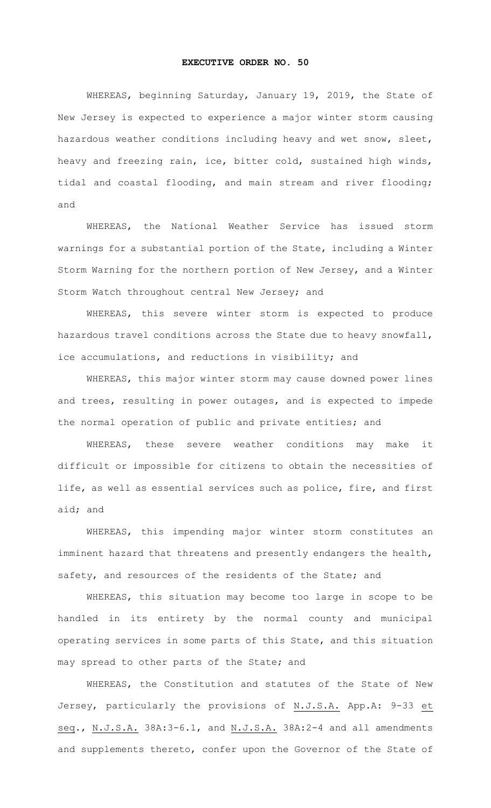## **EXECUTIVE ORDER NO. 50**

WHEREAS, beginning Saturday, January 19, 2019, the State of New Jersey is expected to experience a major winter storm causing hazardous weather conditions including heavy and wet snow, sleet, heavy and freezing rain, ice, bitter cold, sustained high winds, tidal and coastal flooding, and main stream and river flooding; and

WHEREAS, the National Weather Service has issued storm warnings for a substantial portion of the State, including a Winter Storm Warning for the northern portion of New Jersey, and a Winter Storm Watch throughout central New Jersey; and

WHEREAS, this severe winter storm is expected to produce hazardous travel conditions across the State due to heavy snowfall, ice accumulations, and reductions in visibility; and

WHEREAS, this major winter storm may cause downed power lines and trees, resulting in power outages, and is expected to impede the normal operation of public and private entities; and

WHEREAS, these severe weather conditions may make it difficult or impossible for citizens to obtain the necessities of life, as well as essential services such as police, fire, and first aid; and

WHEREAS, this impending major winter storm constitutes an imminent hazard that threatens and presently endangers the health, safety, and resources of the residents of the State; and

WHEREAS, this situation may become too large in scope to be handled in its entirety by the normal county and municipal operating services in some parts of this State, and this situation may spread to other parts of the State; and

WHEREAS, the Constitution and statutes of the State of New Jersey, particularly the provisions of N.J.S.A. App.A: 9-33 et seq., N.J.S.A. 38A:3-6.1, and N.J.S.A. 38A:2-4 and all amendments and supplements thereto, confer upon the Governor of the State of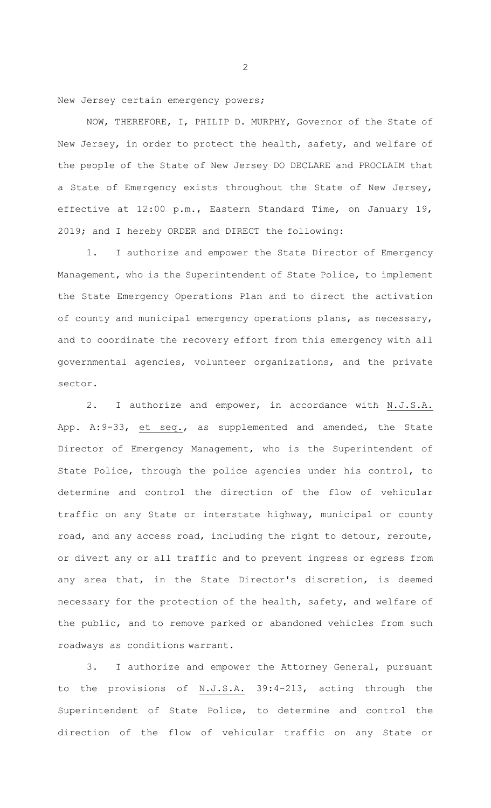New Jersey certain emergency powers;

NOW, THEREFORE, I, PHILIP D. MURPHY, Governor of the State of New Jersey, in order to protect the health, safety, and welfare of the people of the State of New Jersey DO DECLARE and PROCLAIM that a State of Emergency exists throughout the State of New Jersey, effective at 12:00 p.m., Eastern Standard Time, on January 19, 2019; and I hereby ORDER and DIRECT the following:

1. I authorize and empower the State Director of Emergency Management, who is the Superintendent of State Police, to implement the State Emergency Operations Plan and to direct the activation of county and municipal emergency operations plans, as necessary, and to coordinate the recovery effort from this emergency with all governmental agencies, volunteer organizations, and the private sector.

2. I authorize and empower, in accordance with N.J.S.A. App. A:9-33, et seq., as supplemented and amended, the State Director of Emergency Management, who is the Superintendent of State Police, through the police agencies under his control, to determine and control the direction of the flow of vehicular traffic on any State or interstate highway, municipal or county road, and any access road, including the right to detour, reroute, or divert any or all traffic and to prevent ingress or egress from any area that, in the State Director's discretion, is deemed necessary for the protection of the health, safety, and welfare of the public, and to remove parked or abandoned vehicles from such roadways as conditions warrant.

3. I authorize and empower the Attorney General, pursuant to the provisions of N.J.S.A. 39:4-213, acting through the Superintendent of State Police, to determine and control the direction of the flow of vehicular traffic on any State or

2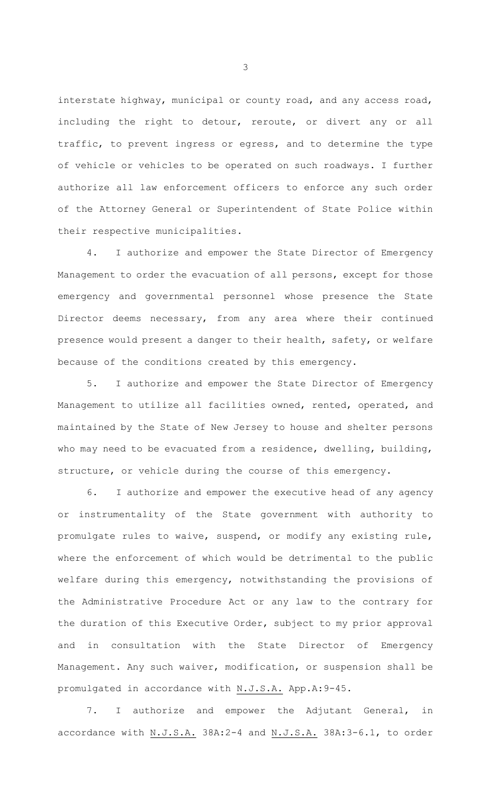interstate highway, municipal or county road, and any access road, including the right to detour, reroute, or divert any or all traffic, to prevent ingress or egress, and to determine the type of vehicle or vehicles to be operated on such roadways. I further authorize all law enforcement officers to enforce any such order of the Attorney General or Superintendent of State Police within their respective municipalities.

4. I authorize and empower the State Director of Emergency Management to order the evacuation of all persons, except for those emergency and governmental personnel whose presence the State Director deems necessary, from any area where their continued presence would present a danger to their health, safety, or welfare because of the conditions created by this emergency.

5. I authorize and empower the State Director of Emergency Management to utilize all facilities owned, rented, operated, and maintained by the State of New Jersey to house and shelter persons who may need to be evacuated from a residence, dwelling, building, structure, or vehicle during the course of this emergency.

I authorize and empower the executive head of any agency or instrumentality of the State government with authority to promulgate rules to waive, suspend, or modify any existing rule, where the enforcement of which would be detrimental to the public welfare during this emergency, notwithstanding the provisions of the Administrative Procedure Act or any law to the contrary for the duration of this Executive Order, subject to my prior approval and in consultation with the State Director of Emergency Management. Any such waiver, modification, or suspension shall be promulgated in accordance with N.J.S.A. App.A:9-45.

7. I authorize and empower the Adjutant General, in accordance with N.J.S.A. 38A:2-4 and N.J.S.A. 38A:3-6.1, to order

3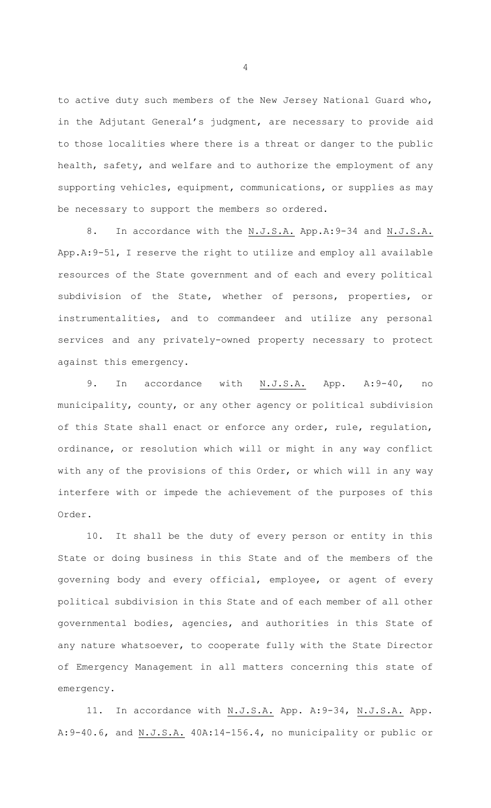to active duty such members of the New Jersey National Guard who, in the Adjutant General's judgment, are necessary to provide aid to those localities where there is a threat or danger to the public health, safety, and welfare and to authorize the employment of any supporting vehicles, equipment, communications, or supplies as may be necessary to support the members so ordered.

8. In accordance with the N.J.S.A. App.A: 9-34 and N.J.S.A. App.A:9-51, I reserve the right to utilize and employ all available resources of the State government and of each and every political subdivision of the State, whether of persons, properties, or instrumentalities, and to commandeer and utilize any personal services and any privately-owned property necessary to protect against this emergency.

9. In accordance with N.J.S.A. App. A:9-40, no municipality, county, or any other agency or political subdivision of this State shall enact or enforce any order, rule, regulation, ordinance, or resolution which will or might in any way conflict with any of the provisions of this Order, or which will in any way interfere with or impede the achievement of the purposes of this Order.

10. It shall be the duty of every person or entity in this State or doing business in this State and of the members of the governing body and every official, employee, or agent of every political subdivision in this State and of each member of all other governmental bodies, agencies, and authorities in this State of any nature whatsoever, to cooperate fully with the State Director of Emergency Management in all matters concerning this state of emergency.

11. In accordance with N.J.S.A. App. A:9-34, N.J.S.A. App. A: 9-40.6, and N.J.S.A. 40A:14-156.4, no municipality or public or

4